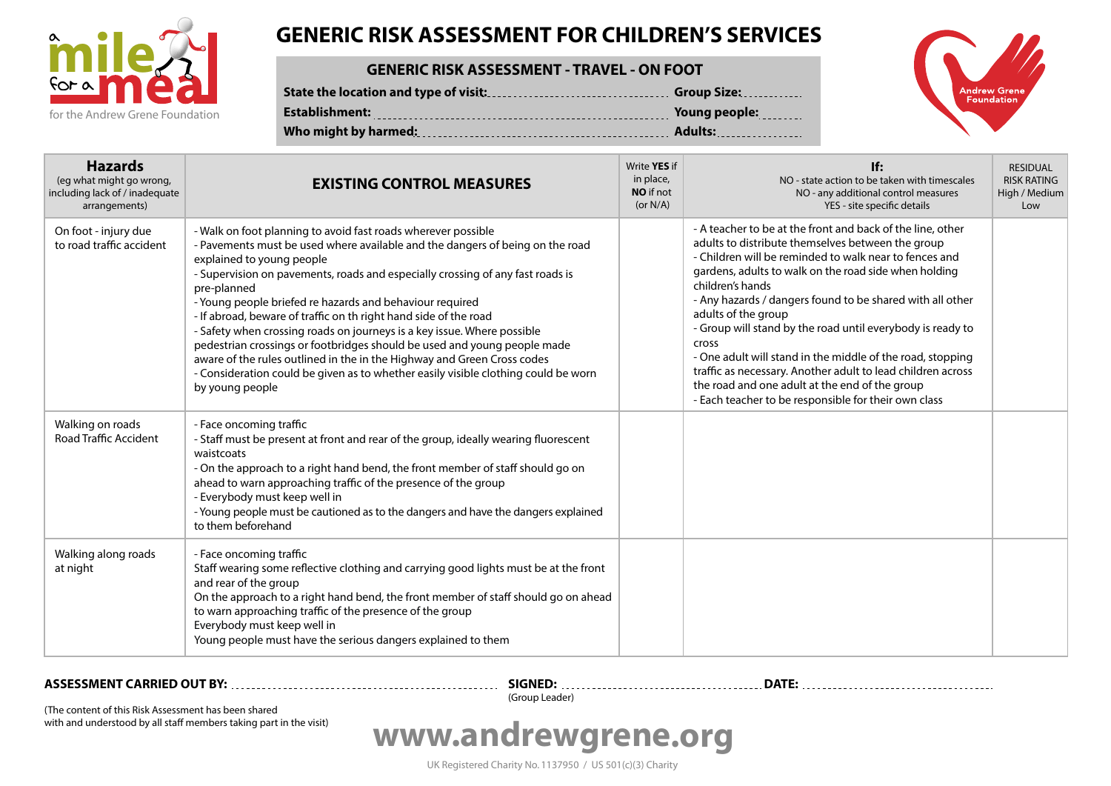

## **GENERIC RISK ASSESSMENT FOR CHILDREN'S SERVICES**

### **GENERIC RISK ASSESSMENT - TRAVEL - ON FOOT**

|                | <b>Group Size:</b> |
|----------------|--------------------|
| Establishment: | Young people:      |
|                |                    |



| <b>Hazards</b><br>(eg what might go wrong,<br>including lack of / inadequate<br>arrangements) | <b>EXISTING CONTROL MEASURES</b>                                                                                                                                                                                                                                                                                                                                                                                                                                                                                                                                                                                                                                                                                                                        | Write YES if<br>in place,<br><b>NO</b> if not<br>(or $N/A$ ) | If:<br>NO - state action to be taken with timescales<br>NO - any additional control measures<br>YES - site specific details                                                                                                                                                                                                                                                                                                                                                                                                                                                                                                                                     | <b>RESIDUAL</b><br><b>RISK RATING</b><br>High / Medium<br>Low |
|-----------------------------------------------------------------------------------------------|---------------------------------------------------------------------------------------------------------------------------------------------------------------------------------------------------------------------------------------------------------------------------------------------------------------------------------------------------------------------------------------------------------------------------------------------------------------------------------------------------------------------------------------------------------------------------------------------------------------------------------------------------------------------------------------------------------------------------------------------------------|--------------------------------------------------------------|-----------------------------------------------------------------------------------------------------------------------------------------------------------------------------------------------------------------------------------------------------------------------------------------------------------------------------------------------------------------------------------------------------------------------------------------------------------------------------------------------------------------------------------------------------------------------------------------------------------------------------------------------------------------|---------------------------------------------------------------|
| On foot - injury due<br>to road traffic accident                                              | - Walk on foot planning to avoid fast roads wherever possible<br>- Pavements must be used where available and the dangers of being on the road<br>explained to young people<br>- Supervision on pavements, roads and especially crossing of any fast roads is<br>pre-planned<br>- Young people briefed re hazards and behaviour required<br>- If abroad, beware of traffic on th right hand side of the road<br>- Safety when crossing roads on journeys is a key issue. Where possible<br>pedestrian crossings or footbridges should be used and young people made<br>aware of the rules outlined in the in the Highway and Green Cross codes<br>- Consideration could be given as to whether easily visible clothing could be worn<br>by young people |                                                              | - A teacher to be at the front and back of the line, other<br>adults to distribute themselves between the group<br>- Children will be reminded to walk near to fences and<br>gardens, adults to walk on the road side when holding<br>children's hands<br>- Any hazards / dangers found to be shared with all other<br>adults of the group<br>- Group will stand by the road until everybody is ready to<br><b>Cross</b><br>- One adult will stand in the middle of the road, stopping<br>traffic as necessary. Another adult to lead children across<br>the road and one adult at the end of the group<br>- Each teacher to be responsible for their own class |                                                               |
| Walking on roads<br><b>Road Traffic Accident</b>                                              | - Face oncoming traffic<br>- Staff must be present at front and rear of the group, ideally wearing fluorescent<br>waistcoats<br>- On the approach to a right hand bend, the front member of staff should go on<br>ahead to warn approaching traffic of the presence of the group<br>- Everybody must keep well in<br>- Young people must be cautioned as to the dangers and have the dangers explained<br>to them beforehand                                                                                                                                                                                                                                                                                                                            |                                                              |                                                                                                                                                                                                                                                                                                                                                                                                                                                                                                                                                                                                                                                                 |                                                               |
| Walking along roads<br>at night                                                               | - Face oncoming traffic<br>Staff wearing some reflective clothing and carrying good lights must be at the front<br>and rear of the group<br>On the approach to a right hand bend, the front member of staff should go on ahead<br>to warn approaching traffic of the presence of the group<br>Everybody must keep well in<br>Young people must have the serious dangers explained to them                                                                                                                                                                                                                                                                                                                                                               |                                                              |                                                                                                                                                                                                                                                                                                                                                                                                                                                                                                                                                                                                                                                                 |                                                               |

**ASSESSMENT CARRIED OUT BY:**

**SIGNED: DATE:** (Group Leader)

(The content of this Risk Assessment has been shared with and understood by all staff members taking part in the visit)

# **www.andrewgrene.org**

UK Registered Charity No. 1137950 / US 501(c)(3) Charity